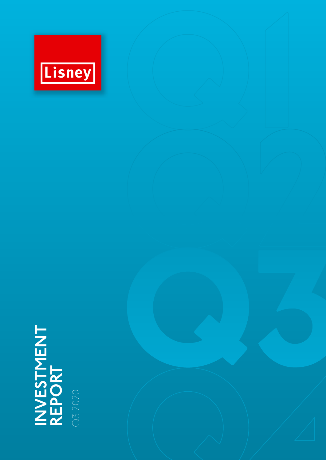

# **INVESTMENT** INVESTMENT<br>REPORT

Q3 2020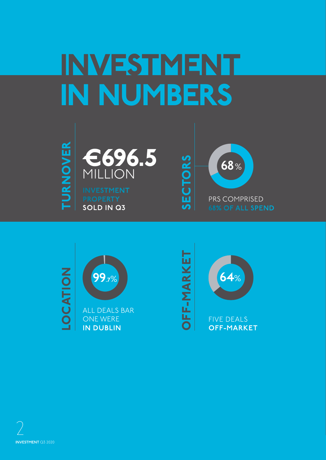# INVESTMENT IN NUMBERS





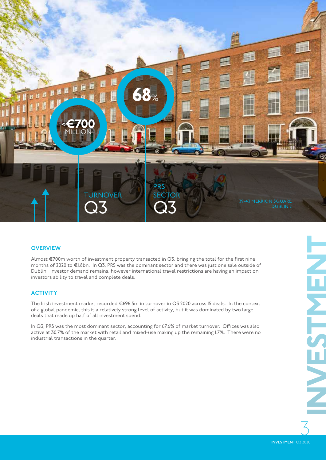

#### **OVERVIEW**

Almost €700m worth of investment property transacted in Q3, bringing the total for the first nine months of 2020 to €1.8bn. In Q3, PRS was the dominant sector and there was just one sale outside of Dublin. Investor demand remains, however international travel restrictions are having an impact on investors ability to travel and complete deals.

#### **ACTIVITY**

The Irish investment market recorded €696.5m in turnover in Q3 2020 across 15 deals. In the context of a global pandemic, this is a relatively strong level of activity, but it was dominated by two large deals that made up half of all investment spend.

In Q3, PRS was the most dominant sector, accounting for 67.6% of market turnover. Offices was also active at 30.7% of the market with retail and mixed-use making up the remaining 1.7%. There were no industrial transactions in the quarter.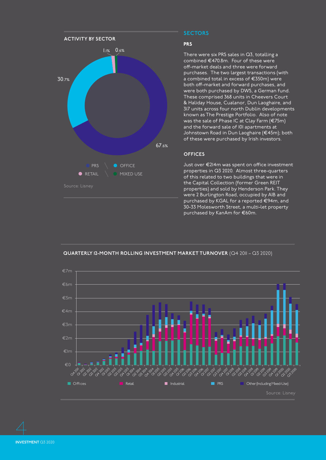

# **SECTORS**

#### PRS

There were six PRS sales in Q3, totalling a combined €470.8m. Four of these were off-market deals and three were forward purchases. The two largest transactions (with a combined total in excess of €350m) were both off-market and forward purchases, and were both purchased by DWS, a German fund. These comprised 368 units in Cheevers Court & Haliday House, Cualanor, Dun Laoghaire, and 317 units across four north Dublin developments known as The Prestige Portfolio. Also of note was the sale of Phase IC at Clay Farm (€75m) and the forward sale of 101 apartments at Johnstown Road in Dun Laoghaire (€45m); both of these were purchased by Irish investors.

#### **OFFICES**

Just over €214m was spent on office investment properties in Q3 2020. Almost three-quarters of this related to two buildings that were in the Capital Collection (former Green REIT properties) and sold by Henderson Park. They were 2 Burlington Road, occupied by AIB and purchased by KGAL for a reported €94m, and 30-33 Molesworth Street, a multi-let property purchased by KanAm for €60m.



**QUARTERLY 12-MONTH ROLLING INVESTMENT MARKET TURNOVER** (Q4 2011 – Q3 2020)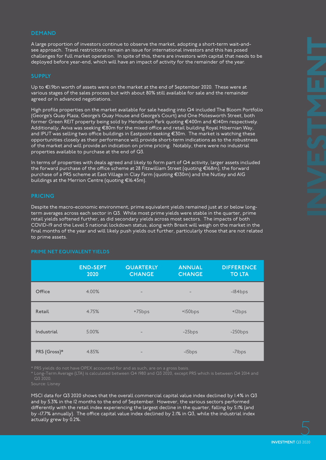#### **DEMAND**

A large proportion of investors continue to observe the market, adopting a short-term wait-andsee approach. Travel restrictions remain an issue for international investors and this has posed challenges for full market operation. In spite of this, there are investors with capital that needs to be deployed before year-end, which will have an impact of activity for the remainder of the year.

#### **SUPPLY**

Up to €1.9bn worth of assets were on the market at the end of September 2020. These were at various stages of the sales process but with about 80% still available for sale and the remainder agreed or in advanced negotiations.

High profile properties on the market available for sale heading into Q4 included The Bloom Portfolio (George's Quay Plaza, George's Quay House and George's Court) and One Molesworth Street, both former Green REIT property being sold by Henderson Park quoting €400m and €140m respectively. Additionally, Aviva was seeking €80m for the mixed office and retail building Royal Hibernian Way, and IPUT was selling two office buildings in Eastpoint seeking €30m. The market is watching these opportunities closely as their performance will provide short-term indications as to the robustness of the market and will provide an indication on prime pricing. Notably, there were no industrial properties available to purchase at the end of Q3.

In terms of properties with deals agreed and likely to form part of Q4 activity, larger assets included the forward purchase of the office scheme at 28 Fitzwilliam Street (quoting €168m), the forward purchase of a PRS scheme at East Village in Clay Farm (quoting €130m) and the Nutley and AIG buildings at the Merrion Centre (quoting €16.45m).

#### **PRICING**

Despite the macro-economic environment, prime equivalent yields remained just at or below longterm averages across each sector in Q3. While most prime yields were stable in the quarter, prime retail yields softened further, as did secondary yields across most sectors. The impacts of both COVID-19 and the Level 5 national lockdown status, along with Brexit will weigh on the market in the final months of the year and will likely push yields out further, particularly those that are not related to prime assets.

#### **PRIME NET EQUIVALENT YIELDS**

|              | <b>END-SEPT</b><br>2020 | <b>QUARTERLY</b><br><b>CHANGE</b> | <b>ANNUAL</b><br><b>CHANGE</b> | <b>DIFFERENCE</b><br><b>TO LTA</b> |
|--------------|-------------------------|-----------------------------------|--------------------------------|------------------------------------|
| Office       | 4.00%                   | $\qquad \qquad -$                 | $\qquad \qquad -$              | $-184bps$                          |
| Retail       | 4.75%                   | +75bps                            | $+150bps$                      | +12bps                             |
| Industrial   | 5.00%                   | $\qquad \qquad -$                 | $-25bps$                       | $-250$ bps                         |
| PRS (Gross)* | 4.85%                   | $\qquad \qquad$                   | $-I5bps$                       | -7lbps                             |

\* PRS yields do not have OPEX accounted for and as such, are on a gross basis.

\* Long-Term Average (LTA) is calculated between Q4 1980 and Q3 2020, except PRS which is between Q4 2014 and Q3 2020.

MSCI data for Q3 2020 shows that the overall commercial capital value index declined by 1.4% in Q3 and by 5.3% in the 12 months to the end of September. However, the various sectors performed differently with the retail index experiencing the largest decline in the quarter, falling by 5.1% (and by -17.7% annually). The office capital value index declined by 2.1% in Q3, while the industrial index actually grew by 0.2%.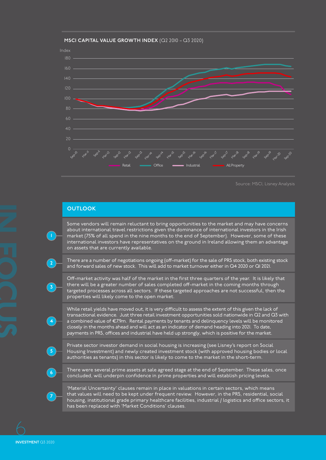

#### **MSCI CAPITAL VALUE GROWTH INDEX** (Q2 2010 – Q3 2020)

Source: MSCI, Lisney Analysis

# **OUTLOOK**

Some vendors will remain reluctant to bring opportunities to the market and may have concerns about international travel restrictions given the dominance of international investors in the Irish market (75% of all spend in the nine months to the end of September). However, some of these international investors have representatives on the ground in Ireland allowing them an advantage on assets that are currently available.

There are a number of negotiations ongoing (off-market) for the sale of PRS stock, both existing stock and forward sales of new stock. This will add to market turnover either in Q4 2020 or Q1 2021.

Off-market activity was half of the market in the first three quarters of the year. It is likely that there will be a greater number of sales completed off-market in the coming months through targeted processes across all sectors. If these targeted approaches are not successful, then the properties will likely come to the open market.

While retail yields have moved out, it is very difficult to assess the extent of this given the lack of transactional evidence. Just three retail investment opportunities sold nationwide in Q2 and Q3 with a combined value of €7.9m. Rental payments by tenants and delinquency levels will be monitored closely in the months ahead and will act as an indicator of demand heading into 2021. To date, payments in PRS, offices and industrial have held up strongly, which is positive for the market.



**2**

**3**

**4**

Private sector investor demand in social housing is increasing (see Lisney's report on Social Housing Investment) and newly created investment stock (with approved housing bodies or local authorities as tenants) in this sector is likely to come to the market in the short-term.



There were several prime assets at sale agreed stage at the end of September. These sales, once concluded, will underpin confidence in prime properties and will establish pricing levels.



'Material Uncertainty' clauses remain in place in valuations in certain sectors, which means that values will need to be kept under frequent review. However, in the PRS, residential, social housing, institutional grade primary healthcare facilities, industrial / logistics and office sectors, it has been replaced with 'Market Conditions' clauses.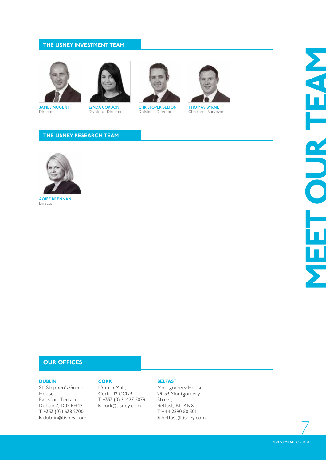### THE LISNEY INVESTMENT TEAM



**JAMES NUGENT**  Director



**LYNDA GORDON** Divisional Director



**CHRISTOPER BELTON** Divisional Director



**THOMAS BYRNE**  Chartered Surveyor

## THE LISNEY RESEARCH TEAM



**AOIFE BRENNAN**  Director

# OUR OFFICES

#### DUBLIN

St. Stephen's Green House, Earlsfort Terrace, Dublin 2, D02 PH42  $T + 353(0)$  1638 2700 E dublin@lisney.com

# **CORK**

1 South Mall, Cork,T12 CCN3 T +353 (0) 21 427 5079 E cork@lisney.com

#### BELFAST

Montgomery House, 29-33 Montgomery Street, Belfast, BT1 4NX T +44 2890 501501 E belfast@lisney.com